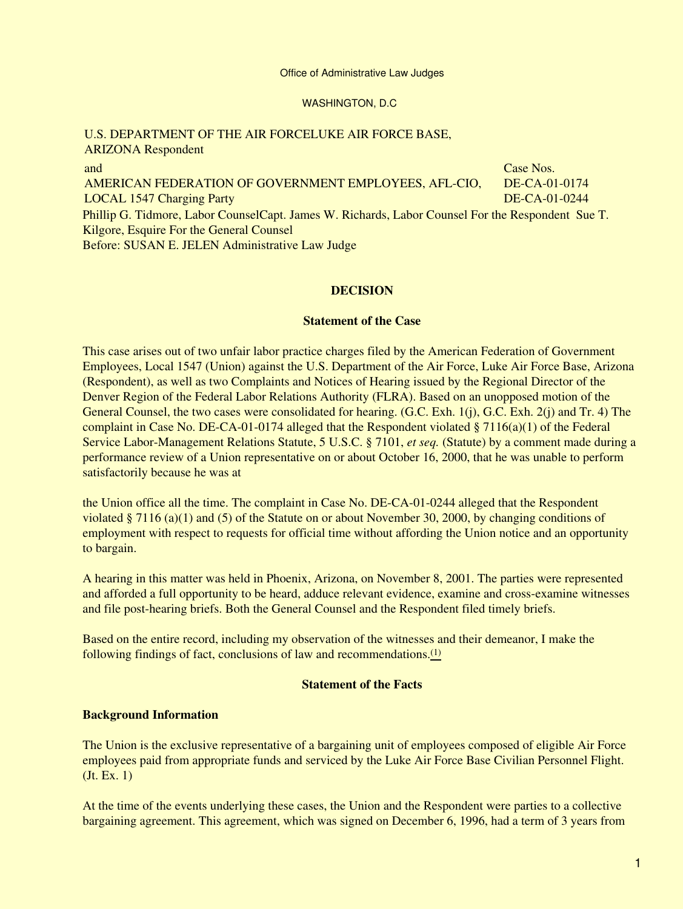## WASHINGTON, D.C

# U.S. DEPARTMENT OF THE AIR FORCELUKE AIR FORCE BASE,

ARIZONA Respondent and AMERICAN FEDERATION OF GOVERNMENT EMPLOYEES, AFL-CIO, LOCAL 1547 Charging Party Case Nos. DE-CA-01-0174 DE-CA-01-0244 Phillip G. Tidmore, Labor CounselCapt. James W. Richards, Labor Counsel For the Respondent Sue T. Kilgore, Esquire For the General Counsel Before: SUSAN E. JELEN Administrative Law Judge

# **DECISION**

## **Statement of the Case**

This case arises out of two unfair labor practice charges filed by the American Federation of Government Employees, Local 1547 (Union) against the U.S. Department of the Air Force, Luke Air Force Base, Arizona (Respondent), as well as two Complaints and Notices of Hearing issued by the Regional Director of the Denver Region of the Federal Labor Relations Authority (FLRA). Based on an unopposed motion of the General Counsel, the two cases were consolidated for hearing. (G.C. Exh. 1(j), G.C. Exh. 2(j) and Tr. 4) The complaint in Case No. DE-CA-01-0174 alleged that the Respondent violated § 7116(a)(1) of the Federal Service Labor-Management Relations Statute, 5 U.S.C. § 7101, *et seq.* (Statute) by a comment made during a performance review of a Union representative on or about October 16, 2000, that he was unable to perform satisfactorily because he was at

the Union office all the time. The complaint in Case No. DE-CA-01-0244 alleged that the Respondent violated § 7116 (a)(1) and (5) of the Statute on or about November 30, 2000, by changing conditions of employment with respect to requests for official time without affording the Union notice and an opportunity to bargain.

A hearing in this matter was held in Phoenix, Arizona, on November 8, 2001. The parties were represented and afforded a full opportunity to be heard, adduce relevant evidence, examine and cross-examine witnesses and file post-hearing briefs. Both the General Counsel and the Respondent filed timely briefs.

Based on the entire record, including my observation of the witnesses and their demeanor, I make the following findings of fact, conclusions of law and recommendations.[\(1\)](#page-12-0)

# **Statement of the Facts**

# **Background Information**

The Union is the exclusive representative of a bargaining unit of employees composed of eligible Air Force employees paid from appropriate funds and serviced by the Luke Air Force Base Civilian Personnel Flight. (Jt. Ex. 1)

At the time of the events underlying these cases, the Union and the Respondent were parties to a collective bargaining agreement. This agreement, which was signed on December 6, 1996, had a term of 3 years from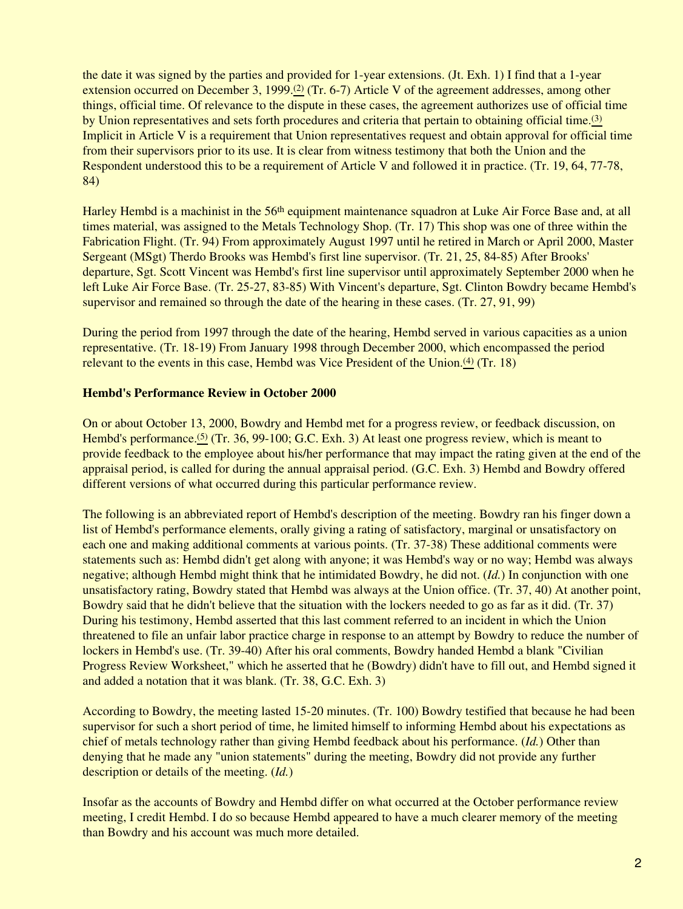the date it was signed by the parties and provided for 1-year extensions. (Jt. Exh. 1) I find that a 1-year extension occurred on December 3, 1999. $\frac{(2)}{(2)}$  $\frac{(2)}{(2)}$  $\frac{(2)}{(2)}$  (Tr. 6-7) Article V of the agreement addresses, among other things, official time. Of relevance to the dispute in these cases, the agreement authorizes use of official time by Union representatives and sets forth procedures and criteria that pertain to obtaining official time.[\(3\)](#page-13-0) Implicit in Article V is a requirement that Union representatives request and obtain approval for official time from their supervisors prior to its use. It is clear from witness testimony that both the Union and the Respondent understood this to be a requirement of Article V and followed it in practice. (Tr. 19, 64, 77-78, 84)

Harley Hembd is a machinist in the 56<sup>th</sup> equipment maintenance squadron at Luke Air Force Base and, at all times material, was assigned to the Metals Technology Shop. (Tr. 17) This shop was one of three within the Fabrication Flight. (Tr. 94) From approximately August 1997 until he retired in March or April 2000, Master Sergeant (MSgt) Therdo Brooks was Hembd's first line supervisor. (Tr. 21, 25, 84-85) After Brooks' departure, Sgt. Scott Vincent was Hembd's first line supervisor until approximately September 2000 when he left Luke Air Force Base. (Tr. 25-27, 83-85) With Vincent's departure, Sgt. Clinton Bowdry became Hembd's supervisor and remained so through the date of the hearing in these cases. (Tr. 27, 91, 99)

During the period from 1997 through the date of the hearing, Hembd served in various capacities as a union representative. (Tr. 18-19) From January 1998 through December 2000, which encompassed the period relevant to the events in this case. Hembd was Vice President of the Union.<sup>[\(4\)](#page-13-1)</sup> (Tr. 18)

# **Hembd's Performance Review in October 2000**

On or about October 13, 2000, Bowdry and Hembd met for a progress review, or feedback discussion, on Hembd's performance.<sup>[\(5\)](#page-13-2)</sup> (Tr. 36, 99-100; G.C. Exh. 3) At least one progress review, which is meant to provide feedback to the employee about his/her performance that may impact the rating given at the end of the appraisal period, is called for during the annual appraisal period. (G.C. Exh. 3) Hembd and Bowdry offered different versions of what occurred during this particular performance review.

The following is an abbreviated report of Hembd's description of the meeting. Bowdry ran his finger down a list of Hembd's performance elements, orally giving a rating of satisfactory, marginal or unsatisfactory on each one and making additional comments at various points. (Tr. 37-38) These additional comments were statements such as: Hembd didn't get along with anyone; it was Hembd's way or no way; Hembd was always negative; although Hembd might think that he intimidated Bowdry, he did not. (*Id.*) In conjunction with one unsatisfactory rating, Bowdry stated that Hembd was always at the Union office. (Tr. 37, 40) At another point, Bowdry said that he didn't believe that the situation with the lockers needed to go as far as it did. (Tr. 37) During his testimony, Hembd asserted that this last comment referred to an incident in which the Union threatened to file an unfair labor practice charge in response to an attempt by Bowdry to reduce the number of lockers in Hembd's use. (Tr. 39-40) After his oral comments, Bowdry handed Hembd a blank "Civilian Progress Review Worksheet," which he asserted that he (Bowdry) didn't have to fill out, and Hembd signed it and added a notation that it was blank. (Tr. 38, G.C. Exh. 3)

According to Bowdry, the meeting lasted 15-20 minutes. (Tr. 100) Bowdry testified that because he had been supervisor for such a short period of time, he limited himself to informing Hembd about his expectations as chief of metals technology rather than giving Hembd feedback about his performance. (*Id.*) Other than denying that he made any "union statements" during the meeting, Bowdry did not provide any further description or details of the meeting. (*Id.*)

Insofar as the accounts of Bowdry and Hembd differ on what occurred at the October performance review meeting, I credit Hembd. I do so because Hembd appeared to have a much clearer memory of the meeting than Bowdry and his account was much more detailed.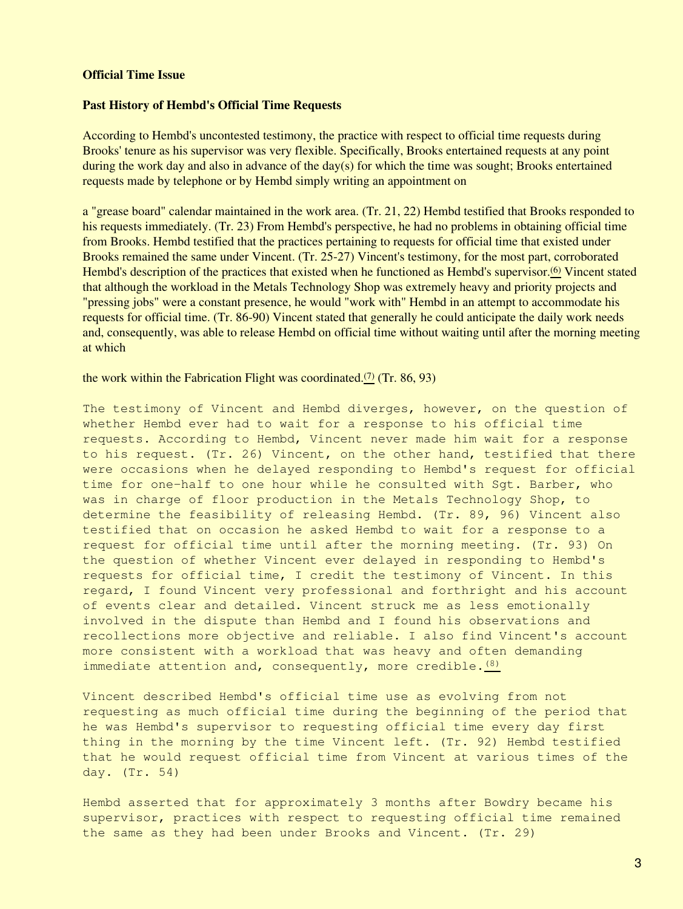# **Official Time Issue**

## **Past History of Hembd's Official Time Requests**

According to Hembd's uncontested testimony, the practice with respect to official time requests during Brooks' tenure as his supervisor was very flexible. Specifically, Brooks entertained requests at any point during the work day and also in advance of the day(s) for which the time was sought; Brooks entertained requests made by telephone or by Hembd simply writing an appointment on

a "grease board" calendar maintained in the work area. (Tr. 21, 22) Hembd testified that Brooks responded to his requests immediately. (Tr. 23) From Hembd's perspective, he had no problems in obtaining official time from Brooks. Hembd testified that the practices pertaining to requests for official time that existed under Brooks remained the same under Vincent. (Tr. 25-27) Vincent's testimony, for the most part, corroborated Hembd's description of the practices that existed when he functioned as Hembd's supervisor.<sup>[\(6\)](#page-13-3)</sup> Vincent stated that although the workload in the Metals Technology Shop was extremely heavy and priority projects and "pressing jobs" were a constant presence, he would "work with" Hembd in an attempt to accommodate his requests for official time. (Tr. 86-90) Vincent stated that generally he could anticipate the daily work needs and, consequently, was able to release Hembd on official time without waiting until after the morning meeting at which

## the work within the Fabrication Flight was coordinated.<sup>[\(7\)](#page-13-4)</sup> (Tr. 86, 93)

The testimony of Vincent and Hembd diverges, however, on the question of whether Hembd ever had to wait for a response to his official time requests. According to Hembd, Vincent never made him wait for a response to his request. (Tr. 26) Vincent, on the other hand, testified that there were occasions when he delayed responding to Hembd's request for official time for one-half to one hour while he consulted with Sgt. Barber, who was in charge of floor production in the Metals Technology Shop, to determine the feasibility of releasing Hembd. (Tr**.** 89, 96) Vincent also testified that on occasion he asked Hembd to wait for a response to a request for official time until after the morning meeting. (Tr. 93) On the question of whether Vincent ever delayed in responding to Hembd's requests for official time, I credit the testimony of Vincent. In this regard, I found Vincent very professional and forthright and his account of events clear and detailed. Vincent struck me as less emotionally involved in the dispute than Hembd and I found his observations and recollections more objective and reliable. I also find Vincent's account more consistent with a workload that was heavy and often demanding immediate attention and, consequently, more credible.  $(8)$ 

Vincent described Hembd's official time use as evolving from not requesting as much official time during the beginning of the period that he was Hembd's supervisor to requesting official time every day first thing in the morning by the time Vincent left. (Tr. 92) Hembd testified that he would request official time from Vincent at various times of the day. (Tr. 54)

Hembd asserted that for approximately 3 months after Bowdry became his supervisor, practices with respect to requesting official time remained the same as they had been under Brooks and Vincent. (Tr. 29)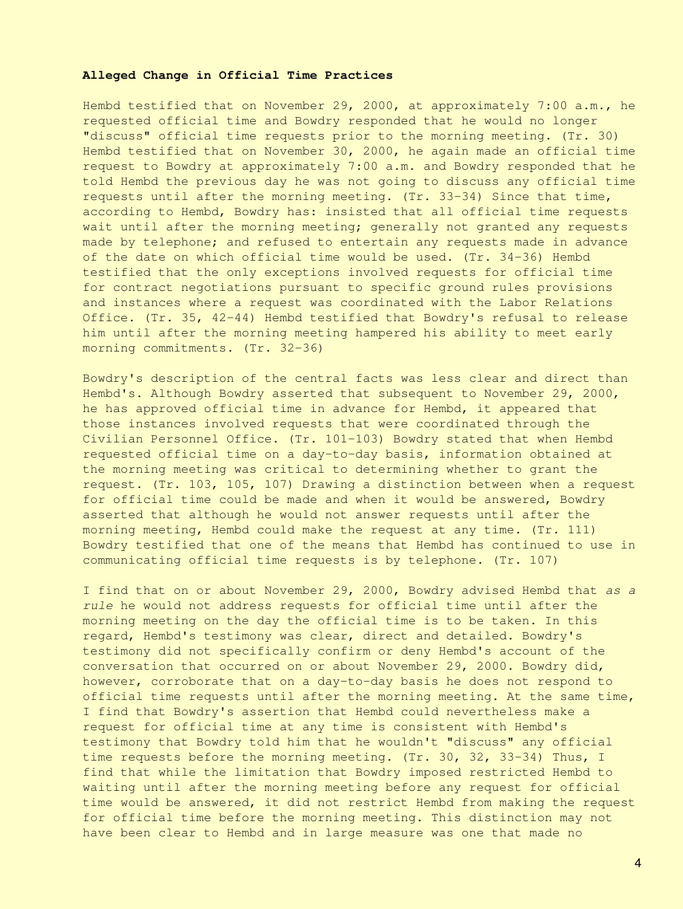## **Alleged Change in Official Time Practices**

Hembd testified that on November 29, 2000, at approximately 7:00 a.m., he requested official time and Bowdry responded that he would no longer "discuss" official time requests prior to the morning meeting. (Tr. 30) Hembd testified that on November 30, 2000, he again made an official time request to Bowdry at approximately 7:00 a.m. and Bowdry responded that he told Hembd the previous day he was not going to discuss any official time requests until after the morning meeting. (Tr. 33-34) Since that time, according to Hembd, Bowdry has: insisted that all official time requests wait until after the morning meeting; generally not granted any requests made by telephone; and refused to entertain any requests made in advance of the date on which official time would be used. (Tr. 34-36) Hembd testified that the only exceptions involved requests for official time for contract negotiations pursuant to specific ground rules provisions and instances where a request was coordinated with the Labor Relations Office. (Tr. 35, 42-44) Hembd testified that Bowdry's refusal to release him until after the morning meeting hampered his ability to meet early morning commitments. (Tr. 32-36)

Bowdry's description of the central facts was less clear and direct than Hembd's. Although Bowdry asserted that subsequent to November 29, 2000, he has approved official time in advance for Hembd, it appeared that those instances involved requests that were coordinated through the Civilian Personnel Office. (Tr. 101-103) Bowdry stated that when Hembd requested official time on a day-to-day basis, information obtained at the morning meeting was critical to determining whether to grant the request. (Tr. 103, 105, 107) Drawing a distinction between when a request for official time could be made and when it would be answered, Bowdry asserted that although he would not answer requests until after the morning meeting, Hembd could make the request at any time. (Tr*.* 111) Bowdry testified that one of the means that Hembd has continued to use in communicating official time requests is by telephone. (Tr. 107)

I find that on or about November 29, 2000, Bowdry advised Hembd that *as a rule* he would not address requests for official time until after the morning meeting on the day the official time is to be taken. In this regard, Hembd's testimony was clear, direct and detailed. Bowdry's testimony did not specifically confirm or deny Hembd's account of the conversation that occurred on or about November 29, 2000. Bowdry did, however, corroborate that on a day-to-day basis he does not respond to official time requests until after the morning meeting. At the same time, I find that Bowdry's assertion that Hembd could nevertheless make a request for official time at any time is consistent with Hembd's testimony that Bowdry told him that he wouldn't "discuss" any official time requests before the morning meeting. (Tr. 30, 32, 33-34) Thus, I find that while the limitation that Bowdry imposed restricted Hembd to waiting until after the morning meeting before any request for official time would be answered, it did not restrict Hembd from making the request for official time before the morning meeting. This distinction may not have been clear to Hembd and in large measure was one that made no

4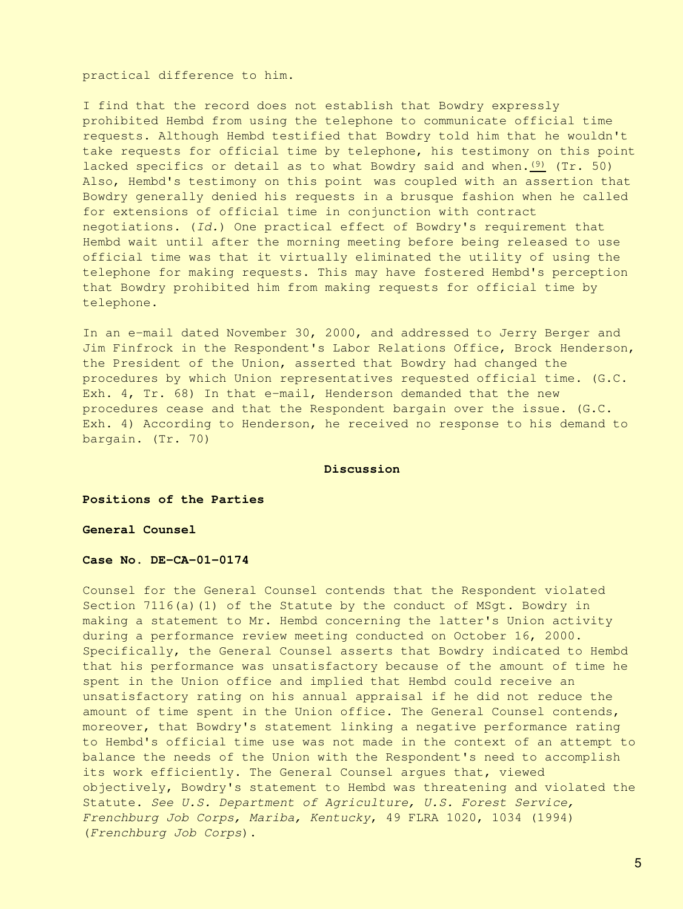practical difference to him.

I find that the record does not establish that Bowdry expressly prohibited Hembd from using the telephone to communicate official time requests. Although Hembd testified that Bowdry told him that he wouldn't take requests for official time by telephone, his testimony on this point lacked specifics or detail as to what Bowdry said and when. $(9)$  (Tr. 50) Also, Hembd's testimony on this point was coupled with an assertion that Bowdry generally denied his requests in a brusque fashion when he called for extensions of official time in conjunction with contract negotiations. (*Id.*) One practical effect of Bowdry's requirement that Hembd wait until after the morning meeting before being released to use official time was that it virtually eliminated the utility of using the telephone for making requests. This may have fostered Hembd's perception that Bowdry prohibited him from making requests for official time by telephone.

In an e-mail dated November 30, 2000, and addressed to Jerry Berger and Jim Finfrock in the Respondent's Labor Relations Office, Brock Henderson, the President of the Union, asserted that Bowdry had changed the procedures by which Union representatives requested official time. (G.C. Exh. 4, Tr. 68) In that e-mail, Henderson demanded that the new procedures cease and that the Respondent bargain over the issue. (G.C. Exh. 4) According to Henderson, he received no response to his demand to bargain. (Tr. 70)

### **Discussion**

**Positions of the Parties**

## **General Counsel**

#### **Case No. DE-CA-01-0174**

Counsel for the General Counsel contends that the Respondent violated Section 7116(a)(1) of the Statute by the conduct of MSgt. Bowdry in making a statement to Mr. Hembd concerning the latter's Union activity during a performance review meeting conducted on October 16, 2000. Specifically, the General Counsel asserts that Bowdry indicated to Hembd that his performance was unsatisfactory because of the amount of time he spent in the Union office and implied that Hembd could receive an unsatisfactory rating on his annual appraisal if he did not reduce the amount of time spent in the Union office. The General Counsel contends, moreover, that Bowdry's statement linking a negative performance rating to Hembd's official time use was not made in the context of an attempt to balance the needs of the Union with the Respondent's need to accomplish its work efficiently. The General Counsel argues that, viewed objectively, Bowdry's statement to Hembd was threatening and violated the Statute. *See U.S. Department of Agriculture, U.S. Forest Service, Frenchburg Job Corps, Mariba, Kentucky*, 49 FLRA 1020, 1034 (1994) (*Frenchburg Job Corps*).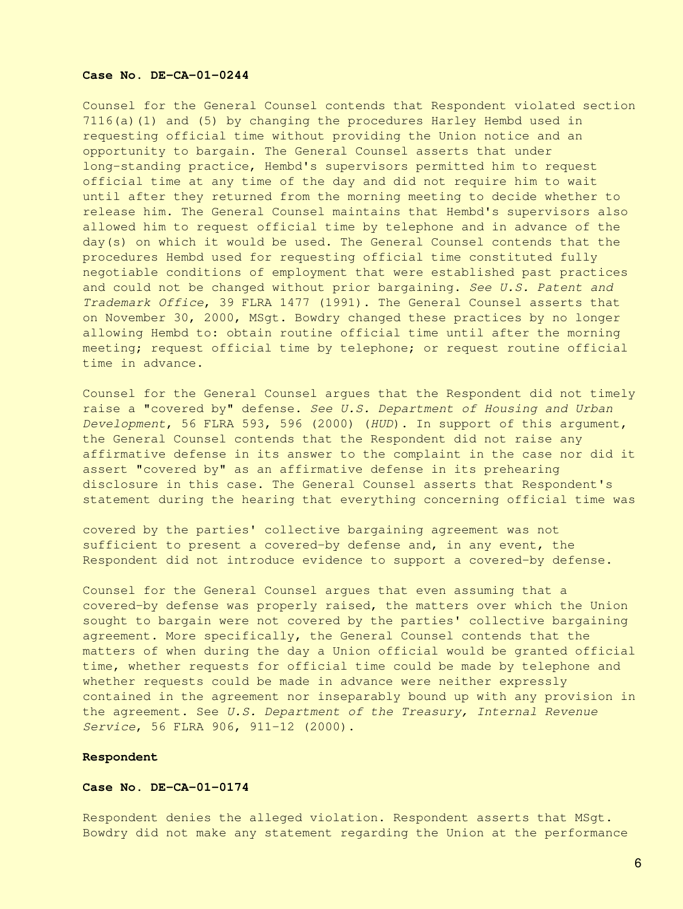### **Case No. DE-CA-01-0244**

Counsel for the General Counsel contends that Respondent violated section 7116(a)(1) and (5) by changing the procedures Harley Hembd used in requesting official time without providing the Union notice and an opportunity to bargain. The General Counsel asserts that under long-standing practice, Hembd's supervisors permitted him to request official time at any time of the day and did not require him to wait until after they returned from the morning meeting to decide whether to release him. The General Counsel maintains that Hembd's supervisors also allowed him to request official time by telephone and in advance of the day(s) on which it would be used. The General Counsel contends that the procedures Hembd used for requesting official time constituted fully negotiable conditions of employment that were established past practices and could not be changed without prior bargaining. *See U.S. Patent and Trademark Office*, 39 FLRA 1477 (1991). The General Counsel asserts that on November 30, 2000, MSgt. Bowdry changed these practices by no longer allowing Hembd to: obtain routine official time until after the morning meeting; request official time by telephone; or request routine official time in advance.

Counsel for the General Counsel argues that the Respondent did not timely raise a "covered by" defense. *See U.S. Department of Housing and Urban Development*, 56 FLRA 593, 596 (2000) (*HUD*). In support of this argument, the General Counsel contends that the Respondent did not raise any affirmative defense in its answer to the complaint in the case nor did it assert "covered by" as an affirmative defense in its prehearing disclosure in this case. The General Counsel asserts that Respondent's statement during the hearing that everything concerning official time was

covered by the parties' collective bargaining agreement was not sufficient to present a covered-by defense and, in any event, the Respondent did not introduce evidence to support a covered-by defense.

Counsel for the General Counsel argues that even assuming that a covered-by defense was properly raised, the matters over which the Union sought to bargain were not covered by the parties' collective bargaining agreement. More specifically, the General Counsel contends that the matters of when during the day a Union official would be granted official time, whether requests for official time could be made by telephone and whether requests could be made in advance were neither expressly contained in the agreement nor inseparably bound up with any provision in the agreement. See *U.S. Department of the Treasury, Internal Revenue Service*, 56 FLRA 906, 911-12 (2000).

## **Respondent**

## **Case No. DE-CA-01-0174**

Respondent denies the alleged violation. Respondent asserts that MSgt. Bowdry did not make any statement regarding the Union at the performance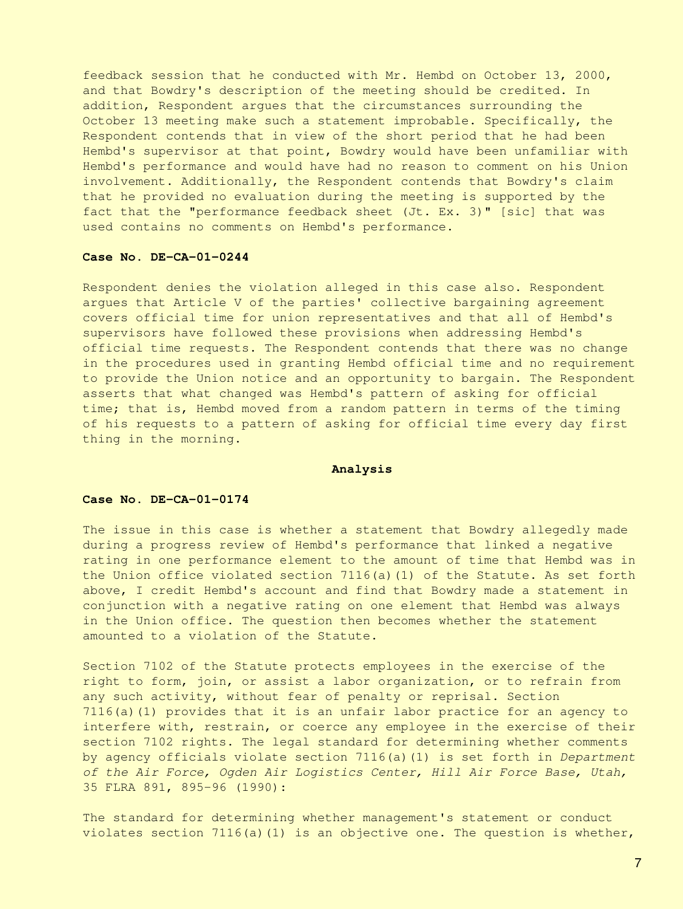feedback session that he conducted with Mr. Hembd on October 13, 2000, and that Bowdry's description of the meeting should be credited. In addition, Respondent argues that the circumstances surrounding the October 13 meeting make such a statement improbable. Specifically, the Respondent contends that in view of the short period that he had been Hembd's supervisor at that point, Bowdry would have been unfamiliar with Hembd's performance and would have had no reason to comment on his Union involvement. Additionally, the Respondent contends that Bowdry's claim that he provided no evaluation during the meeting is supported by the fact that the "performance feedback sheet (Jt. Ex. 3)" [sic] that was used contains no comments on Hembd's performance.

#### **Case No. DE-CA-01-0244**

Respondent denies the violation alleged in this case also. Respondent argues that Article V of the parties' collective bargaining agreement covers official time for union representatives and that all of Hembd's supervisors have followed these provisions when addressing Hembd's official time requests. The Respondent contends that there was no change in the procedures used in granting Hembd official time and no requirement to provide the Union notice and an opportunity to bargain. The Respondent asserts that what changed was Hembd's pattern of asking for official time; that is, Hembd moved from a random pattern in terms of the timing of his requests to a pattern of asking for official time every day first thing in the morning.

### **Analysis**

## **Case No. DE-CA-01-0174**

The issue in this case is whether a statement that Bowdry allegedly made during a progress review of Hembd's performance that linked a negative rating in one performance element to the amount of time that Hembd was in the Union office violated section 7116(a)(1) of the Statute. As set forth above, I credit Hembd's account and find that Bowdry made a statement in conjunction with a negative rating on one element that Hembd was always in the Union office. The question then becomes whether the statement amounted to a violation of the Statute.

Section 7102 of the Statute protects employees in the exercise of the right to form, join, or assist a labor organization, or to refrain from any such activity, without fear of penalty or reprisal. Section 7116(a)(1) provides that it is an unfair labor practice for an agency to interfere with, restrain, or coerce any employee in the exercise of their section 7102 rights. The legal standard for determining whether comments by agency officials violate section 7116(a)(1) is set forth in *Department of the Air Force, Ogden Air Logistics Center, Hill Air Force Base, Utah,* 35 FLRA 891, 895-96 (1990):

The standard for determining whether management's statement or conduct violates section 7116(a)(1) is an objective one. The question is whether,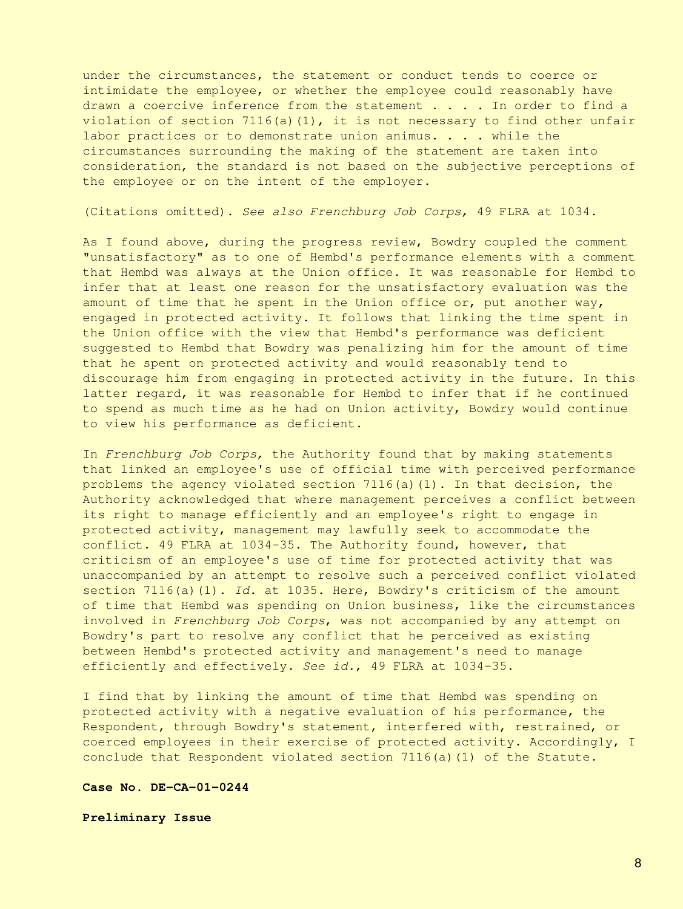under the circumstances, the statement or conduct tends to coerce or intimidate the employee, or whether the employee could reasonably have drawn a coercive inference from the statement . . . . In order to find a violation of section 7116(a)(1), it is not necessary to find other unfair labor practices or to demonstrate union animus. . . . while the circumstances surrounding the making of the statement are taken into consideration, the standard is not based on the subjective perceptions of the employee or on the intent of the employer.

(Citations omitted). *See also Frenchburg Job Corps,* 49 FLRA at 1034.

As I found above, during the progress review, Bowdry coupled the comment "unsatisfactory" as to one of Hembd's performance elements with a comment that Hembd was always at the Union office. It was reasonable for Hembd to infer that at least one reason for the unsatisfactory evaluation was the amount of time that he spent in the Union office or, put another way, engaged in protected activity. It follows that linking the time spent in the Union office with the view that Hembd's performance was deficient suggested to Hembd that Bowdry was penalizing him for the amount of time that he spent on protected activity and would reasonably tend to discourage him from engaging in protected activity in the future. In this latter regard, it was reasonable for Hembd to infer that if he continued to spend as much time as he had on Union activity, Bowdry would continue to view his performance as deficient.

In *Frenchburg Job Corps,* the Authority found that by making statements that linked an employee's use of official time with perceived performance problems the agency violated section 7116(a)(1). In that decision, the Authority acknowledged that where management perceives a conflict between its right to manage efficiently and an employee's right to engage in protected activity, management may lawfully seek to accommodate the conflict. 49 FLRA at 1034-35. The Authority found, however, that criticism of an employee's use of time for protected activity that was unaccompanied by an attempt to resolve such a perceived conflict violated section 7116(a)(1). *Id.* at 1035. Here, Bowdry's criticism of the amount of time that Hembd was spending on Union business, like the circumstances involved in *Frenchburg Job Corps*, was not accompanied by any attempt on Bowdry's part to resolve any conflict that he perceived as existing between Hembd's protected activity and management's need to manage efficiently and effectively. *See id.*, 49 FLRA at 1034-35.

I find that by linking the amount of time that Hembd was spending on protected activity with a negative evaluation of his performance, the Respondent, through Bowdry's statement, interfered with, restrained, or coerced employees in their exercise of protected activity. Accordingly, I conclude that Respondent violated section 7116(a)(1) of the Statute.

## **Case No. DE-CA-01-0244**

#### **Preliminary Issue**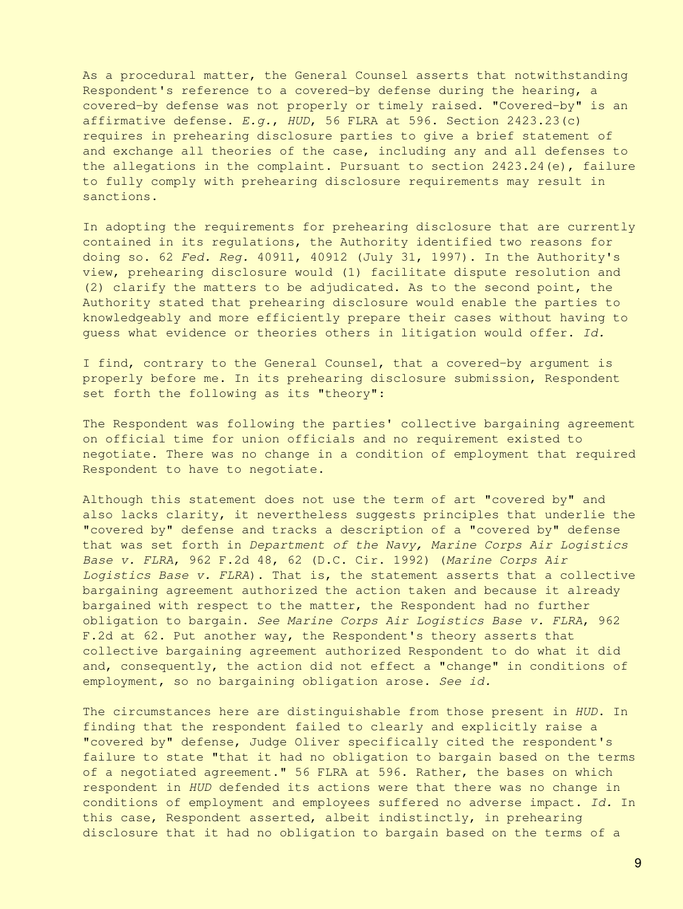As a procedural matter, the General Counsel asserts that notwithstanding Respondent's reference to a covered-by defense during the hearing, a covered-by defense was not properly or timely raised. "Covered-by" is an affirmative defense. *E.g.*, *HUD*, 56 FLRA at 596. Section 2423.23(c) requires in prehearing disclosure parties to give a brief statement of and exchange all theories of the case, including any and all defenses to the allegations in the complaint. Pursuant to section  $2423.24(e)$ , failure to fully comply with prehearing disclosure requirements may result in sanctions.

In adopting the requirements for prehearing disclosure that are currently contained in its regulations, the Authority identified two reasons for doing so. 62 *Fed. Reg.* 40911, 40912 (July 31, 1997). In the Authority's view, prehearing disclosure would (1) facilitate dispute resolution and (2) clarify the matters to be adjudicated. As to the second point, the Authority stated that prehearing disclosure would enable the parties to knowledgeably and more efficiently prepare their cases without having to guess what evidence or theories others in litigation would offer. *Id.*

I find, contrary to the General Counsel, that a covered-by argument is properly before me. In its prehearing disclosure submission, Respondent set forth the following as its "theory":

The Respondent was following the parties' collective bargaining agreement on official time for union officials and no requirement existed to negotiate. There was no change in a condition of employment that required Respondent to have to negotiate.

Although this statement does not use the term of art "covered by" and also lacks clarity, it nevertheless suggests principles that underlie the "covered by" defense and tracks a description of a "covered by" defense that was set forth in *Department of the Navy, Marine Corps Air Logistics Base v. FLRA*, 962 F.2d 48, 62 (D.C. Cir. 1992) (*Marine Corps Air Logistics Base v. FLRA*). That is, the statement asserts that a collective bargaining agreement authorized the action taken and because it already bargained with respect to the matter, the Respondent had no further obligation to bargain. *See Marine Corps Air Logistics Base v. FLRA*, 962 F.2d at 62. Put another way, the Respondent's theory asserts that collective bargaining agreement authorized Respondent to do what it did and, consequently, the action did not effect a "change" in conditions of employment, so no bargaining obligation arose. *See id.*

The circumstances here are distinguishable from those present in *HUD*. In finding that the respondent failed to clearly and explicitly raise a "covered by" defense, Judge Oliver specifically cited the respondent's failure to state "that it had no obligation to bargain based on the terms of a negotiated agreement." 56 FLRA at 596. Rather, the bases on which respondent in *HUD* defended its actions were that there was no change in conditions of employment and employees suffered no adverse impact. *Id.* In this case, Respondent asserted, albeit indistinctly, in prehearing disclosure that it had no obligation to bargain based on the terms of a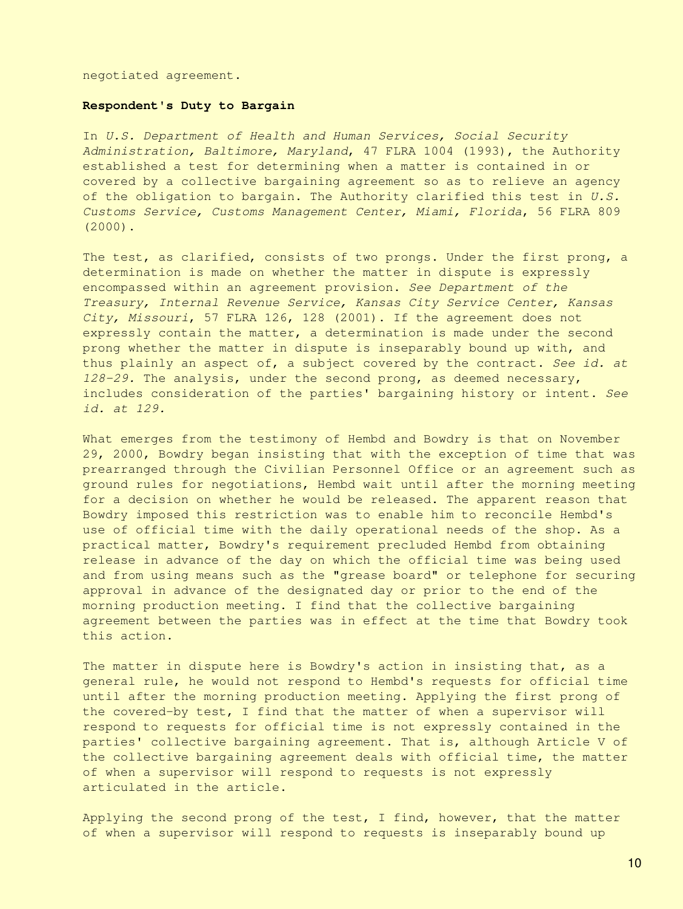negotiated agreement.

## **Respondent's Duty to Bargain**

In *U.S. Department of Health and Human Services, Social Security Administration, Baltimore, Maryland*, 47 FLRA 1004 (1993), the Authority established a test for determining when a matter is contained in or covered by a collective bargaining agreement so as to relieve an agency of the obligation to bargain. The Authority clarified this test in *U.S. Customs Service, Customs Management Center, Miami, Florida*, 56 FLRA 809 (2000).

The test, as clarified, consists of two prongs. Under the first prong, a determination is made on whether the matter in dispute is expressly encompassed within an agreement provision. *See Department of the Treasury, Internal Revenue Service, Kansas City Service Center, Kansas City, Missouri*, 57 FLRA 126, 128 (2001). If the agreement does not expressly contain the matter, a determination is made under the second prong whether the matter in dispute is inseparably bound up with, and thus plainly an aspect of, a subject covered by the contract. *See id. at 128-29.* The analysis, under the second prong, as deemed necessary, includes consideration of the parties' bargaining history or intent. *See id. at 129.*

What emerges from the testimony of Hembd and Bowdry is that on November 29, 2000, Bowdry began insisting that with the exception of time that was prearranged through the Civilian Personnel Office or an agreement such as ground rules for negotiations, Hembd wait until after the morning meeting for a decision on whether he would be released. The apparent reason that Bowdry imposed this restriction was to enable him to reconcile Hembd's use of official time with the daily operational needs of the shop. As a practical matter, Bowdry's requirement precluded Hembd from obtaining release in advance of the day on which the official time was being used and from using means such as the "grease board" or telephone for securing approval in advance of the designated day or prior to the end of the morning production meeting. I find that the collective bargaining agreement between the parties was in effect at the time that Bowdry took this action.

The matter in dispute here is Bowdry's action in insisting that, as a general rule, he would not respond to Hembd's requests for official time until after the morning production meeting. Applying the first prong of the covered-by test, I find that the matter of when a supervisor will respond to requests for official time is not expressly contained in the parties' collective bargaining agreement. That is, although Article V of the collective bargaining agreement deals with official time, the matter of when a supervisor will respond to requests is not expressly articulated in the article.

Applying the second prong of the test, I find, however, that the matter of when a supervisor will respond to requests is inseparably bound up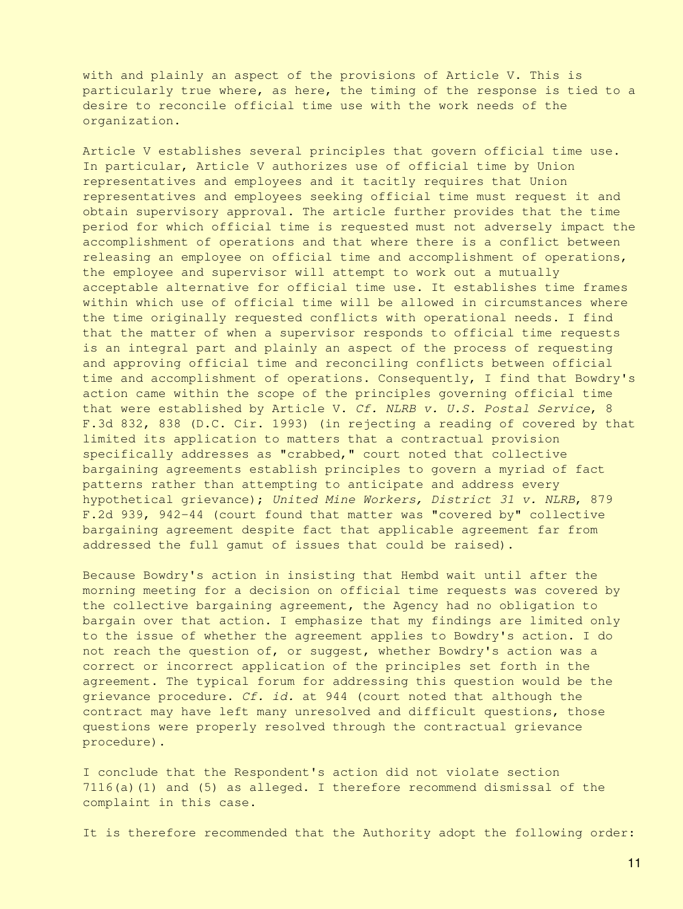with and plainly an aspect of the provisions of Article V. This is particularly true where, as here, the timing of the response is tied to a desire to reconcile official time use with the work needs of the organization.

Article V establishes several principles that govern official time use. In particular, Article V authorizes use of official time by Union representatives and employees and it tacitly requires that Union representatives and employees seeking official time must request it and obtain supervisory approval. The article further provides that the time period for which official time is requested must not adversely impact the accomplishment of operations and that where there is a conflict between releasing an employee on official time and accomplishment of operations, the employee and supervisor will attempt to work out a mutually acceptable alternative for official time use. It establishes time frames within which use of official time will be allowed in circumstances where the time originally requested conflicts with operational needs. I find that the matter of when a supervisor responds to official time requests is an integral part and plainly an aspect of the process of requesting and approving official time and reconciling conflicts between official time and accomplishment of operations. Consequently, I find that Bowdry's action came within the scope of the principles governing official time that were established by Article V. *Cf. NLRB v. U.S. Postal Service*, 8 F.3d 832, 838 (D.C. Cir. 1993) (in rejecting a reading of covered by that limited its application to matters that a contractual provision specifically addresses as "crabbed," court noted that collective bargaining agreements establish principles to govern a myriad of fact patterns rather than attempting to anticipate and address every hypothetical grievance); *United Mine Workers, District 31 v. NLRB*, 879 F.2d 939, 942-44 (court found that matter was "covered by" collective bargaining agreement despite fact that applicable agreement far from addressed the full gamut of issues that could be raised).

Because Bowdry's action in insisting that Hembd wait until after the morning meeting for a decision on official time requests was covered by the collective bargaining agreement, the Agency had no obligation to bargain over that action. I emphasize that my findings are limited only to the issue of whether the agreement applies to Bowdry's action. I do not reach the question of, or suggest, whether Bowdry's action was a correct or incorrect application of the principles set forth in the agreement. The typical forum for addressing this question would be the grievance procedure. *Cf. id.* at 944 (court noted that although the contract may have left many unresolved and difficult questions, those questions were properly resolved through the contractual grievance procedure).

I conclude that the Respondent's action did not violate section 7116(a)(1) and (5) as alleged. I therefore recommend dismissal of the complaint in this case.

It is therefore recommended that the Authority adopt the following order: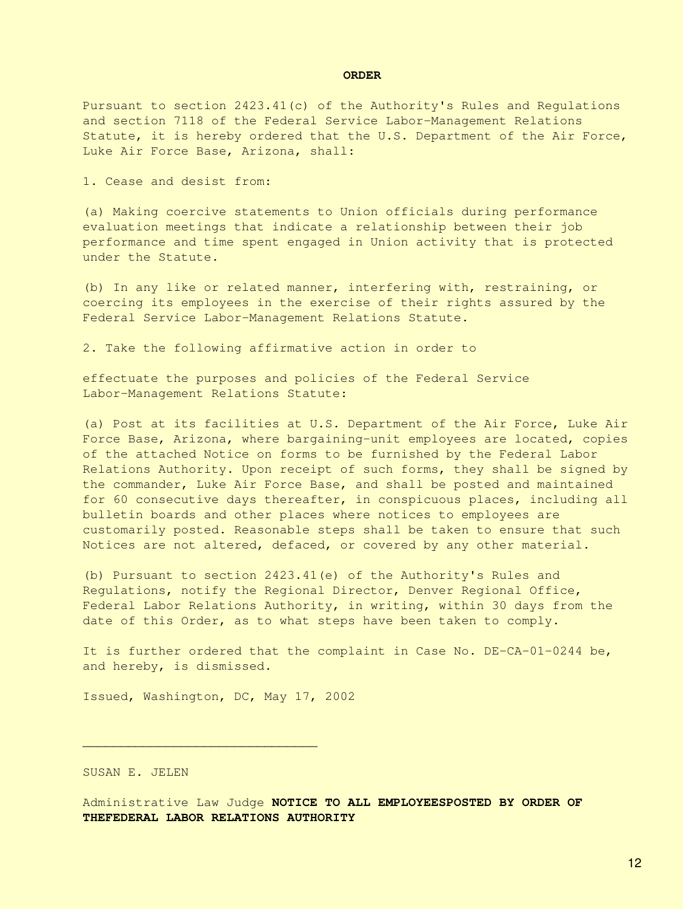## **ORDER**

Pursuant to section 2423.41(c) of the Authority's Rules and Regulations and section 7118 of the Federal Service Labor-Management Relations Statute, it is hereby ordered that the U.S. Department of the Air Force, Luke Air Force Base, Arizona, shall:

1. Cease and desist from:

(a) Making coercive statements to Union officials during performance evaluation meetings that indicate a relationship between their job performance and time spent engaged in Union activity that is protected under the Statute.

(b) In any like or related manner, interfering with, restraining, or coercing its employees in the exercise of their rights assured by the Federal Service Labor-Management Relations Statute.

2. Take the following affirmative action in order to

effectuate the purposes and policies of the Federal Service Labor-Management Relations Statute:

(a) Post at its facilities at U.S. Department of the Air Force, Luke Air Force Base, Arizona, where bargaining-unit employees are located, copies of the attached Notice on forms to be furnished by the Federal Labor Relations Authority. Upon receipt of such forms, they shall be signed by the commander, Luke Air Force Base, and shall be posted and maintained for 60 consecutive days thereafter, in conspicuous places, including all bulletin boards and other places where notices to employees are customarily posted. Reasonable steps shall be taken to ensure that such Notices are not altered, defaced, or covered by any other material.

(b) Pursuant to section 2423.41(e) of the Authority's Rules and Regulations, notify the Regional Director, Denver Regional Office, Federal Labor Relations Authority, in writing, within 30 days from the date of this Order, as to what steps have been taken to comply.

It is further ordered that the complaint in Case No. DE-CA-01-0244 be, and hereby, is dismissed.

Issued, Washington, DC, May 17, 2002

\_\_\_\_\_\_\_\_\_\_\_\_\_\_\_\_\_\_\_\_\_\_\_\_\_\_\_\_\_\_\_

SUSAN E. JELEN

Administrative Law Judge **NOTICE TO ALL EMPLOYEESPOSTED BY ORDER OF THEFEDERAL LABOR RELATIONS AUTHORITY**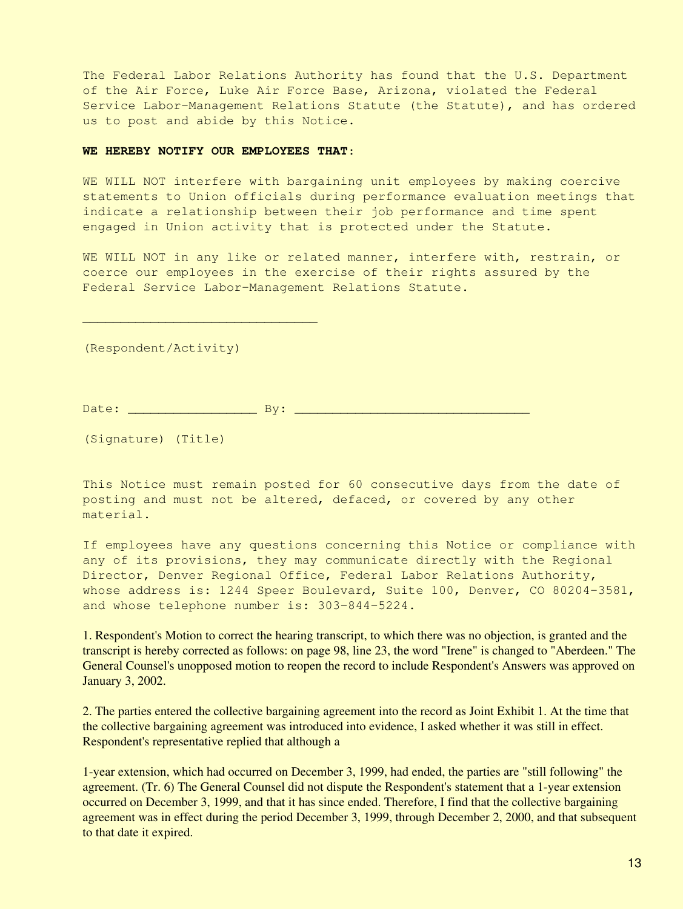The Federal Labor Relations Authority has found that the U.S. Department of the Air Force, Luke Air Force Base, Arizona, violated the Federal Service Labor-Management Relations Statute (the Statute), and has ordered us to post and abide by this Notice.

## **WE HEREBY NOTIFY OUR EMPLOYEES THAT**:

WE WILL NOT interfere with bargaining unit employees by making coercive statements to Union officials during performance evaluation meetings that indicate a relationship between their job performance and time spent engaged in Union activity that is protected under the Statute.

WE WILL NOT in any like or related manner, interfere with, restrain, or coerce our employees in the exercise of their rights assured by the Federal Service Labor-Management Relations Statute.

(Respondent/Activity)

 $\overline{\phantom{a}}$  , which is a set of the set of the set of the set of the set of the set of the set of the set of the set of the set of the set of the set of the set of the set of the set of the set of the set of the set of th

Date: \_\_\_\_\_\_\_\_\_\_\_\_\_\_\_\_\_ By: \_\_\_\_\_\_\_\_\_\_\_\_\_\_\_\_\_\_\_\_\_\_\_\_\_\_\_\_\_\_\_

(Signature) (Title)

This Notice must remain posted for 60 consecutive days from the date of posting and must not be altered, defaced, or covered by any other material.

If employees have any questions concerning this Notice or compliance with any of its provisions, they may communicate directly with the Regional Director, Denver Regional Office, Federal Labor Relations Authority, whose address is: 1244 Speer Boulevard, Suite 100, Denver, CO 80204-3581, and whose telephone number is: 303-844-5224.

<span id="page-12-0"></span>1. Respondent's Motion to correct the hearing transcript, to which there was no objection, is granted and the transcript is hereby corrected as follows: on page 98, line 23, the word "Irene" is changed to "Aberdeen." The General Counsel's unopposed motion to reopen the record to include Respondent's Answers was approved on January 3, 2002.

<span id="page-12-1"></span>2. The parties entered the collective bargaining agreement into the record as Joint Exhibit 1. At the time that the collective bargaining agreement was introduced into evidence, I asked whether it was still in effect. Respondent's representative replied that although a

1-year extension, which had occurred on December 3, 1999, had ended, the parties are "still following" the agreement. (Tr. 6) The General Counsel did not dispute the Respondent's statement that a 1-year extension occurred on December 3, 1999, and that it has since ended. Therefore, I find that the collective bargaining agreement was in effect during the period December 3, 1999, through December 2, 2000, and that subsequent to that date it expired.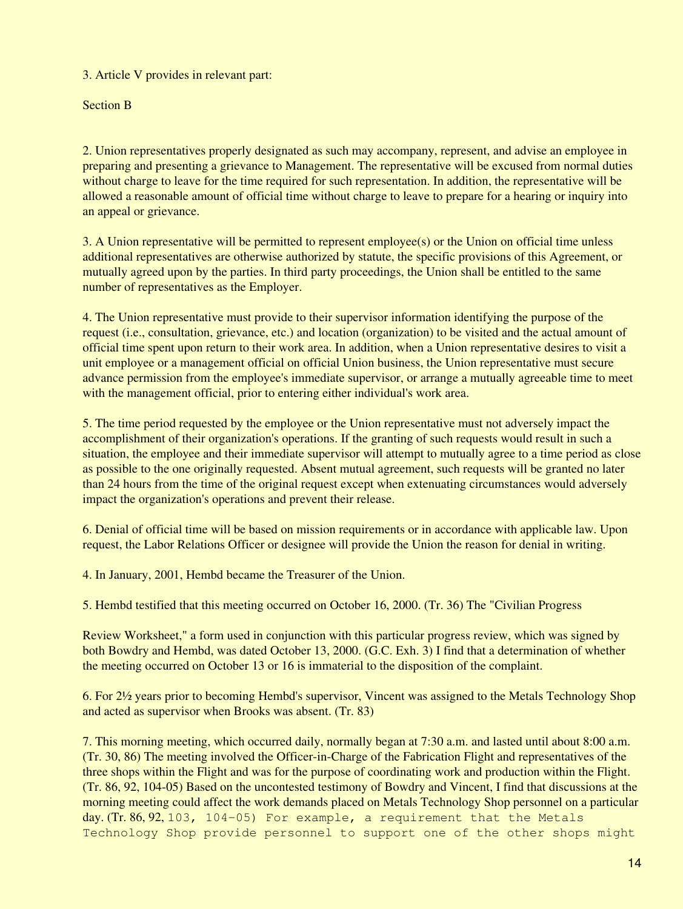<span id="page-13-0"></span>3. Article V provides in relevant part:

Section B

2. Union representatives properly designated as such may accompany, represent, and advise an employee in preparing and presenting a grievance to Management. The representative will be excused from normal duties without charge to leave for the time required for such representation. In addition, the representative will be allowed a reasonable amount of official time without charge to leave to prepare for a hearing or inquiry into an appeal or grievance.

3. A Union representative will be permitted to represent employee(s) or the Union on official time unless additional representatives are otherwise authorized by statute, the specific provisions of this Agreement, or mutually agreed upon by the parties. In third party proceedings, the Union shall be entitled to the same number of representatives as the Employer.

4. The Union representative must provide to their supervisor information identifying the purpose of the request (i.e., consultation, grievance, etc.) and location (organization) to be visited and the actual amount of official time spent upon return to their work area. In addition, when a Union representative desires to visit a unit employee or a management official on official Union business, the Union representative must secure advance permission from the employee's immediate supervisor, or arrange a mutually agreeable time to meet with the management official, prior to entering either individual's work area.

5. The time period requested by the employee or the Union representative must not adversely impact the accomplishment of their organization's operations. If the granting of such requests would result in such a situation, the employee and their immediate supervisor will attempt to mutually agree to a time period as close as possible to the one originally requested. Absent mutual agreement, such requests will be granted no later than 24 hours from the time of the original request except when extenuating circumstances would adversely impact the organization's operations and prevent their release.

6. Denial of official time will be based on mission requirements or in accordance with applicable law. Upon request, the Labor Relations Officer or designee will provide the Union the reason for denial in writing.

<span id="page-13-1"></span>4. In January, 2001, Hembd became the Treasurer of the Union.

<span id="page-13-2"></span>5. Hembd testified that this meeting occurred on October 16, 2000. (Tr. 36) The "Civilian Progress

Review Worksheet," a form used in conjunction with this particular progress review, which was signed by both Bowdry and Hembd, was dated October 13, 2000. (G.C. Exh. 3) I find that a determination of whether the meeting occurred on October 13 or 16 is immaterial to the disposition of the complaint.

<span id="page-13-3"></span>6. For 2½ years prior to becoming Hembd's supervisor, Vincent was assigned to the Metals Technology Shop and acted as supervisor when Brooks was absent. (Tr. 83)

<span id="page-13-4"></span>7. This morning meeting, which occurred daily, normally began at 7:30 a.m. and lasted until about 8:00 a.m. (Tr. 30, 86) The meeting involved the Officer-in-Charge of the Fabrication Flight and representatives of the three shops within the Flight and was for the purpose of coordinating work and production within the Flight. (Tr. 86, 92, 104-05) Based on the uncontested testimony of Bowdry and Vincent, I find that discussions at the morning meeting could affect the work demands placed on Metals Technology Shop personnel on a particular day. (Tr.  $86, 92, 103$ ,  $104-05$ ) For example, a requirement that the Metals Technology Shop provide personnel to support one of the other shops might